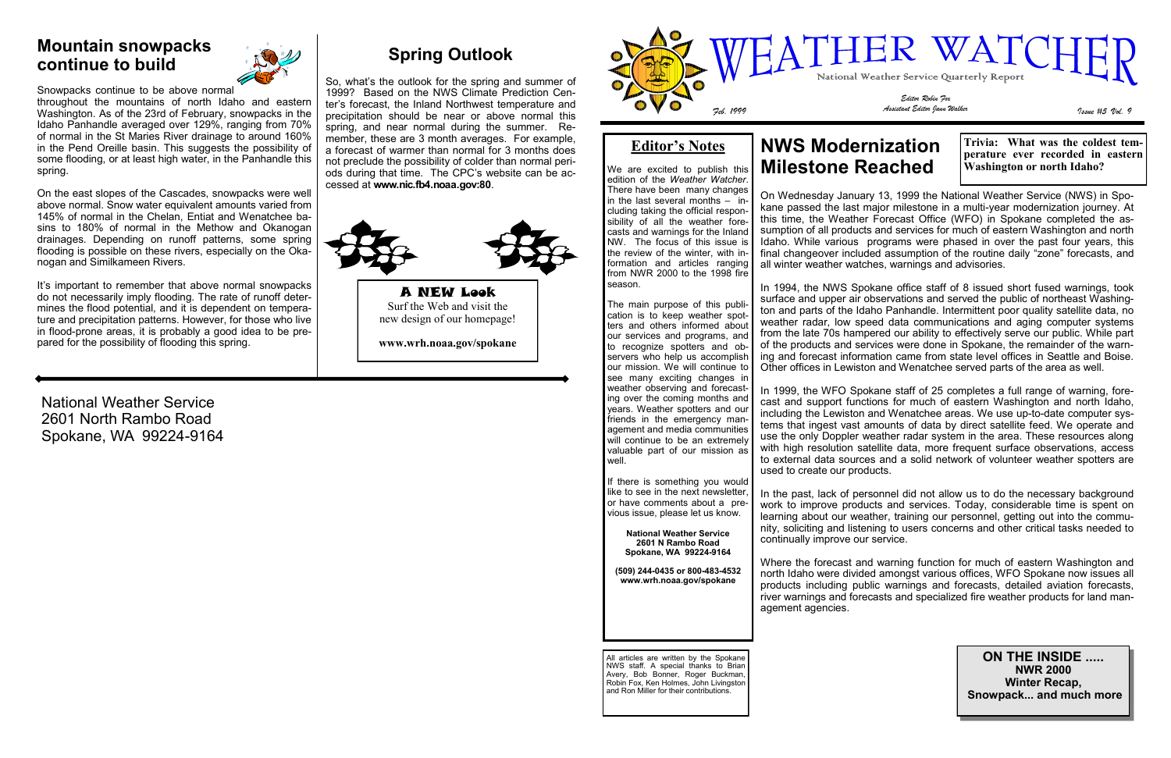National Weather Service 2601 North Rambo Road Spokane, WA 99224-9164

#### **Mountain snowpacks continue to build**



Snowpacks continue to be above normal

throughout the mountains of north Idaho and eastern Washington. As of the 23rd of February, snowpacks in the Idaho Panhandle averaged over 129%, ranging from 70% of normal in the St Maries River drainage to around 160% in the Pend Oreille basin. This suggests the possibility of some flooding, or at least high water, in the Panhandle this spring.

It's important to remember that above normal snowpacks do not necessarily imply flooding. The rate of runoff determines the flood potential, and it is dependent on temperature and precipitation patterns. However, for those who live in flood-prone areas, it is probably a good idea to be prepared for the possibility of flooding this spring.

On the east slopes of the Cascades, snowpacks were well above normal. Snow water equivalent amounts varied from 145% of normal in the Chelan, Entiat and Wenatchee basins to 180% of normal in the Methow and Okanogan drainages. Depending on runoff patterns, some spring flooding is possible on these rivers, especially on the Okanogan and Similkameen Rivers.

#### **Editor's Notes**

We are excited to publish this edition of the *Weather Watcher*. There have been many changes in the last several months  $-$  including taking the official responsibility of all the weather forecasts and warnings for the Inland NW. The focus of this issue is the review of the winter, with information and articles ranging from NWR 2000 to the 1998 fire season.

The main purpose of this publication is to keep weather spotters and others informed about our services and programs, and to recognize spotters and observers who help us accomplish our mission. We will continue to see many exciting changes in weather observing and forecasting over the coming months and years. Weather spotters and our friends in the emergency management and media communities will continue to be an extremely valuable part of our mission as well.

If there is something you would like to see in the next newsletter, or have comments about a previous issue, please let us know.

**National Weather Service 2601 N Rambo Road Spokane, WA 99224-9164**

**(509) 244-0435 or 800-483-4532 www.wrh.noaa.gov/spokane**

### **NWS Modernization Milestone Reached**

On Wednesday January 13, 1999 the National Weather Service (NWS) in Spokane passed the last major milestone in a multi-year modernization journey. At this time, the Weather Forecast Office (WFO) in Spokane completed the assumption of all products and services for much of eastern Washington and north Idaho. While various programs were phased in over the past four years, this final changeover included assumption of the routine daily "zone" forecasts, and all winter weather watches, warnings and advisories.

In 1994, the NWS Spokane office staff of 8 issued short fused warnings, took surface and upper air observations and served the public of northeast Washington and parts of the Idaho Panhandle. Intermittent poor quality satellite data, no weather radar, low speed data communications and aging computer systems from the late 70s hampered our ability to effectively serve our public. While part of the products and services were done in Spokane, the remainder of the warning and forecast information came from state level offices in Seattle and Boise. Other offices in Lewiston and Wenatchee served parts of the area as well.

In 1999, the WFO Spokane staff of 25 completes a full range of warning, forecast and support functions for much of eastern Washington and north Idaho, including the Lewiston and Wenatchee areas. We use up-to-date computer systems that ingest vast amounts of data by direct satellite feed. We operate and use the only Doppler weather radar system in the area. These resources along with high resolution satellite data, more frequent surface observations, access to external data sources and a solid network of volunteer weather spotters are used to create our products.

In the past, lack of personnel did not allow us to do the necessary background work to improve products and services. Today, considerable time is spent on learning about our weather, training our personnel, getting out into the community, soliciting and listening to users concerns and other critical tasks needed to continually improve our service.

Where the forecast and warning function for much of eastern Washington and north Idaho were divided amongst various offices, WFO Spokane now issues all products including public warnings and forecasts, detailed aviation forecasts, river warnings and forecasts and specialized fire weather products for land management agencies.

> **ON THE INSIDE ..... NWR 2000 Winter Recap, Snowpack... and much more**

All articles are written by the Spokane NWS staff. A special thanks to Brian Avery, Bob Bonner, Roger Buckman, Robin Fox, Ken Holmes, John Livingston and Ron Miller for their contributions.

**Trivia: What was the coldest temperature ever recorded in eastern Washington or north Idaho?**



## **Spring Outlook**

So, what's the outlook for the spring and summer of 1999? Based on the NWS Climate Prediction Center's forecast, the Inland Northwest temperature and precipitation should be near or above normal this spring, and near normal during the summer. Remember, these are 3 month averages. For example, a forecast of warmer than normal for 3 months does not preclude the possibility of colder than normal periods during that time. The CPC's website can be accessed at **www.nic.fb4.noaa.gov:80**.



A NEW Look Surf the Web and visit the new design of our homepage!

**www.wrh.noaa.gov/spokane**